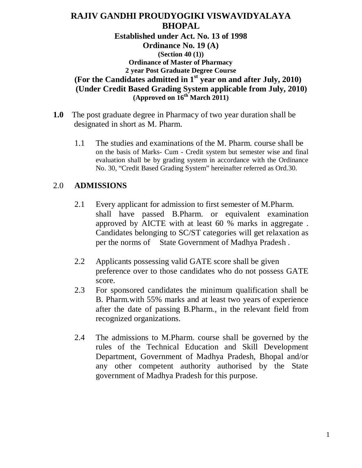## **RAJIV GANDHI PROUDYOGIKI VISWAVIDYALAYA BHOPAL**

**Established under Act. No. 13 of 1998 Ordinance No. 19 (A) (Section 40 (1)) Ordinance of Master of Pharmacy 2 year Post Graduate Degree Course (For the Candidates admitted in 1st year on and after July, 2010) (Under Credit Based Grading System applicable from July, 2010) (Approved on 16th March 2011)**

- **1.0** The post graduate degree in Pharmacy of two year duration shall be designated in short as M. Pharm.
	- 1.1 The studies and examinations of the M. Pharm. course shall be on the basis of Marks- Cum - Credit system but semester wise and final evaluation shall be by grading system in accordance with the Ordinance No. 30, "Credit Based Grading System" hereinafter referred as Ord.30.

### 2.0 **ADMISSIONS**

- 2.1 Every applicant for admission to first semester of M.Pharm. shall have passed B.Pharm. or equivalent examination approved by AICTE with at least 60 % marks in aggregate . Candidates belonging to SC/ST categories will get relaxation as per the norms of State Government of Madhya Pradesh .
- 2.2 Applicants possessing valid GATE score shall be given preference over to those candidates who do not possess GATE score.
- 2.3 For sponsored candidates the minimum qualification shall be B. Pharm.with 55% marks and at least two years of experience after the date of passing B.Pharm., in the relevant field from recognized organizations.
- 2.4 The admissions to M.Pharm. course shall be governed by the rules of the Technical Education and Skill Development Department, Government of Madhya Pradesh, Bhopal and/or any other competent authority authorised by the State government of Madhya Pradesh for this purpose.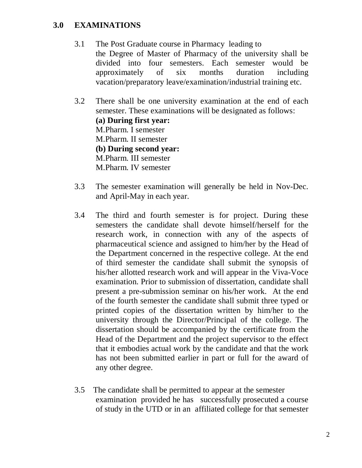### **3.0 EXAMINATIONS**

- 3.1 The Post Graduate course in Pharmacy leading to the Degree of Master of Pharmacy of the university shall be divided into four semesters. Each semester would be approximately of six months duration including vacation/preparatory leave/examination/industrial training etc.
- 3.2 There shall be one university examination at the end of each semester. These examinations will be designated as follows: **(a) During first year:** M.Pharm. I semester M.Pharm. II semester **(b) During second year:** M.Pharm. III semester M.Pharm. IV semester
- 3.3 The semester examination will generally be held in Nov-Dec. and April-May in each year.
- 3.4 The third and fourth semester is for project. During these semesters the candidate shall devote himself/herself for the research work, in connection with any of the aspects of pharmaceutical science and assigned to him/her by the Head of the Department concerned in the respective college. At the end of third semester the candidate shall submit the synopsis of his/her allotted research work and will appear in the Viva-Voce examination. Prior to submission of dissertation, candidate shall present a pre-submission seminar on his/her work. At the end of the fourth semester the candidate shall submit three typed or printed copies of the dissertation written by him/her to the university through the Director/Principal of the college. The dissertation should be accompanied by the certificate from the Head of the Department and the project supervisor to the effect that it embodies actual work by the candidate and that the work has not been submitted earlier in part or full for the award of any other degree.
- 3.5 The candidate shall be permitted to appear at the semester examination provided he has successfully prosecuted a course of study in the UTD or in an affiliated college for that semester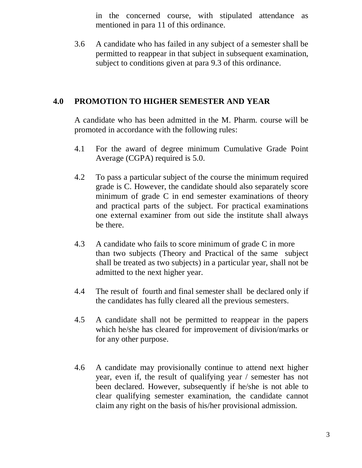in the concerned course, with stipulated attendance as mentioned in para 11 of this ordinance.

3.6 A candidate who has failed in any subject of a semester shall be permitted to reappear in that subject in subsequent examination, subject to conditions given at para 9.3 of this ordinance.

### **4.0 PROMOTION TO HIGHER SEMESTER AND YEAR**

A candidate who has been admitted in the M. Pharm. course will be promoted in accordance with the following rules:

- 4.1 For the award of degree minimum Cumulative Grade Point Average (CGPA) required is 5.0.
- 4.2 To pass a particular subject of the course the minimum required grade is C. However, the candidate should also separately score minimum of grade C in end semester examinations of theory and practical parts of the subject. For practical examinations one external examiner from out side the institute shall always be there.
- 4.3 A candidate who fails to score minimum of grade C in more than two subjects (Theory and Practical of the same subject shall be treated as two subjects) in a particular year, shall not be admitted to the next higher year.
- 4.4 The result of fourth and final semester shall be declared only if the candidates has fully cleared all the previous semesters.
- 4.5 A candidate shall not be permitted to reappear in the papers which he/she has cleared for improvement of division/marks or for any other purpose.
- 4.6 A candidate may provisionally continue to attend next higher year, even if, the result of qualifying year / semester has not been declared. However, subsequently if he/she is not able to clear qualifying semester examination, the candidate cannot claim any right on the basis of his/her provisional admission.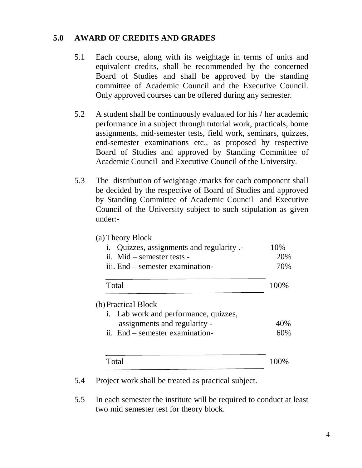### **5.0 AWARD OF CREDITS AND GRADES**

- 5.1 Each course, along with its weightage in terms of units and equivalent credits, shall be recommended by the concerned Board of Studies and shall be approved by the standing committee of Academic Council and the Executive Council. Only approved courses can be offered during any semester.
- 5.2 A student shall be continuously evaluated for his / her academic performance in a subject through tutorial work, practicals, home assignments, mid-semester tests, field work, seminars, quizzes, end-semester examinations etc., as proposed by respective Board of Studies and approved by Standing Committee of Academic Council and Executive Council of the University.
- 5.3 The distribution of weightage /marks for each component shall be decided by the respective of Board of Studies and approved by Standing Committee of Academic Council and Executive Council of the University subject to such stipulation as given under:-

| (a) Theory Block<br>Quizzes, assignments and regularity .-<br>ii. Mid – semester tests -<br>iii. End – semester examination- | 10\%<br>20%<br>70% |
|------------------------------------------------------------------------------------------------------------------------------|--------------------|
| Total                                                                                                                        | 100%               |
| (b) Practical Block<br>i. Lab work and performance, quizzes,                                                                 |                    |
| assignments and regularity -                                                                                                 | 40%                |
| ii. End – semester examination-                                                                                              | 60%                |
| Total                                                                                                                        |                    |

5.4 Project work shall be treated as practical subject.

5.5 In each semester the institute will be required to conduct at least two mid semester test for theory block.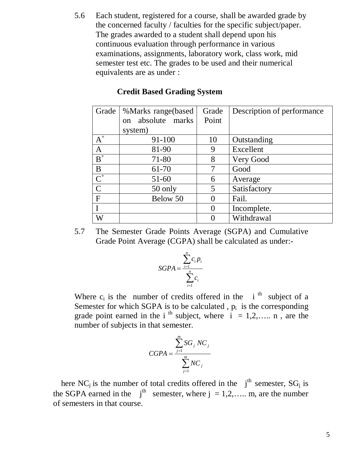5.6 Each student, registered for a course, shall be awarded grade by the concerned faculty / faculties for the specific subject/paper. The grades awarded to a student shall depend upon his continuous evaluation through performance in various examinations, assignments, laboratory work, class work, mid semester test etc. The grades to be used and their numerical equivalents are as under :

| Grade          | %Marks range(based         | Grade         | Description of performance |
|----------------|----------------------------|---------------|----------------------------|
|                | absolute marks<br>$\alpha$ | Point         |                            |
|                | system)                    |               |                            |
| $A^+$          | $91 - 100$                 | 10            | Outstanding                |
| A              | 81-90                      | 9             | Excellent                  |
| $B^+$          | 71-80                      | 8             | Very Good                  |
| B              | 61-70                      | 7             | Good                       |
| $C^+$          | $51-60$                    | 6             | Average                    |
| $\overline{C}$ | 50 only                    | 5             | Satisfactory               |
| F              | Below 50                   | $\theta$      | Fail.                      |
| I              |                            | $\theta$      | Incomplete.                |
| W              |                            | $\mathcal{O}$ | Withdrawal                 |

#### **Credit Based Grading System**

5.7 The Semester Grade Points Average (SGPA) and Cumulative Grade Point Average (CGPA) shall be calculated as under:-

$$
SGPA = \frac{\sum_{i=1}^{n} c_i p_i}{\sum_{i=1}^{n} c_i}
$$

Where  $c_i$  is the number of credits offered in the i<sup>th</sup> subject of a Semester for which SGPA is to be calculated,  $p_i$  is the corresponding grade point earned in the i<sup>th</sup> subject, where  $i = 1, 2, \ldots$  n, are the number of subjects in that semester.

$$
CGPA = \frac{\sum_{j=1}^{m} SG_j NC_j}{\sum_{j=1}^{m} NC_j}
$$

here NC<sub>i</sub> is the number of total credits offered in the  $j<sup>th</sup>$  semester, SG<sub>i</sub> is the SGPA earned in the  $i^{th}$  semester, where  $j = 1, 2, \ldots$  m, are the number of semesters in that course.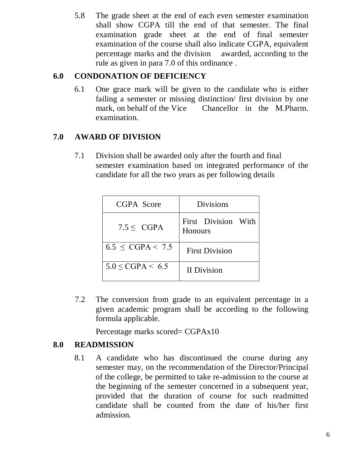5.8 The grade sheet at the end of each even semester examination shall show CGPA till the end of that semester. The final examination grade sheet at the end of final semester examination of the course shall also indicate CGPA, equivalent percentage marks and the division awarded, according to the rule as given in para 7.0 of this ordinance .

# **6.0 CONDONATION OF DEFICIENCY**

6.1 One grace mark will be given to the candidate who is either failing a semester or missing distinction/ first division by one mark, on behalf of the Vice Chancellor in the M.Pharm. examination.

# **7.0 AWARD OF DIVISION**

7.1 Division shall be awarded only after the fourth and final semester examination based on integrated performance of the candidate for all the two years as per following details

| CGPA Score               | <b>Divisions</b>               |
|--------------------------|--------------------------------|
| $7.5 <$ CGPA             | First Division With<br>Honours |
| $6.5 \leq CGPA < 7.5$    | <b>First Division</b>          |
| $5.0 \leq CGPA \leq 6.5$ | <b>II</b> Division             |

 7.2 The conversion from grade to an equivalent percentage in a given academic program shall be according to the following formula applicable.

Percentage marks scored= CGPAx10

# **8.0 READMISSION**

8.1 A candidate who has discontinued the course during any semester may, on the recommendation of the Director/Principal of the college, be permitted to take re-admission to the course at the beginning of the semester concerned in a subsequent year, provided that the duration of course for such readmitted candidate shall be counted from the date of his/her first admission.